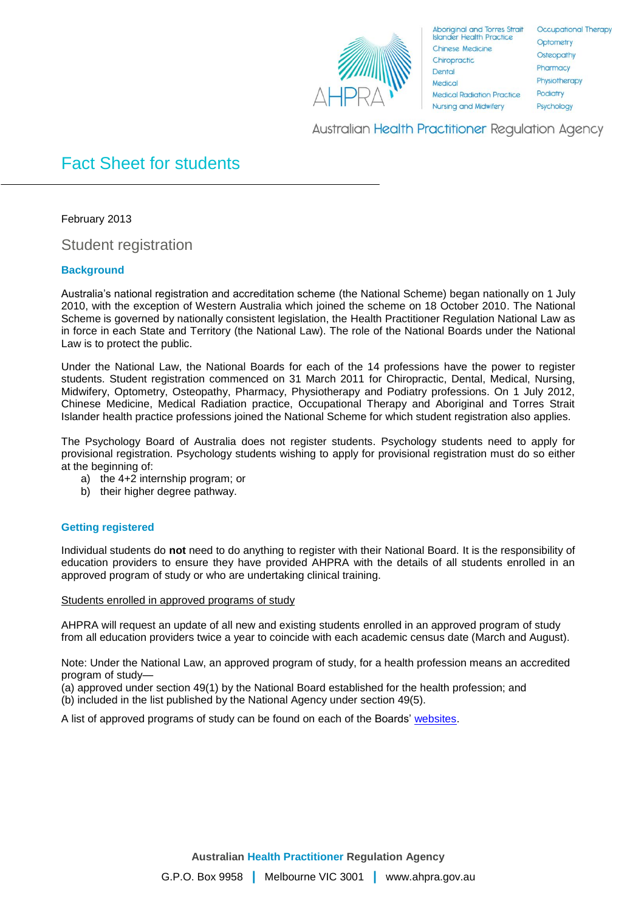

**Aboriginal and Torres Strait Islander Health Practice Chinese Medicine** Chiropractic Dental Medical **Medical Radiation Practice Nursing and Midwifery** 

Occupational Therapy Optometry Osteopathy Pharmacy Physiotherapy Podiatry Psychology

Australian Health Practitioner Regulation Agency

# Fact Sheet for students

February 2013

Student registration

## **Background**

Australia's national registration and accreditation scheme (the National Scheme) began nationally on 1 July 2010, with the exception of Western Australia which joined the scheme on 18 October 2010. The National Scheme is governed by nationally consistent legislation, the Health Practitioner Regulation National Law as in force in each State and Territory (the National Law). The role of the National Boards under the National Law is to protect the public.

Under the National Law, the National Boards for each of the 14 professions have the power to register students. Student registration commenced on 31 March 2011 for Chiropractic, Dental, Medical, Nursing, Midwifery, Optometry, Osteopathy, Pharmacy, Physiotherapy and Podiatry professions. On 1 July 2012, Chinese Medicine, Medical Radiation practice, Occupational Therapy and Aboriginal and Torres Strait Islander health practice professions joined the National Scheme for which student registration also applies.

The Psychology Board of Australia does not register students. Psychology students need to apply for provisional registration. Psychology students wishing to apply for provisional registration must do so either at the beginning of:

- a) the 4+2 internship program; or
- b) their higher degree pathway.

### **Getting registered**

Individual students do **not** need to do anything to register with their National Board. It is the responsibility of education providers to ensure they have provided AHPRA with the details of all students enrolled in an approved program of study or who are undertaking clinical training.

### Students enrolled in approved programs of study

AHPRA will request an update of all new and existing students enrolled in an approved program of study from all education providers twice a year to coincide with each academic census date (March and August).

Note: Under the National Law, an approved program of study, for a health profession means an accredited program of study—

(a) approved under section 49(1) by the National Board established for the health profession; and (b) included in the list published by the National Agency under section 49(5).

A list of approved programs of study can be found on each of the Boards' [websites.](http://www.ahpra.gov.au/Education/Approved-Programs-of-Study.aspx)